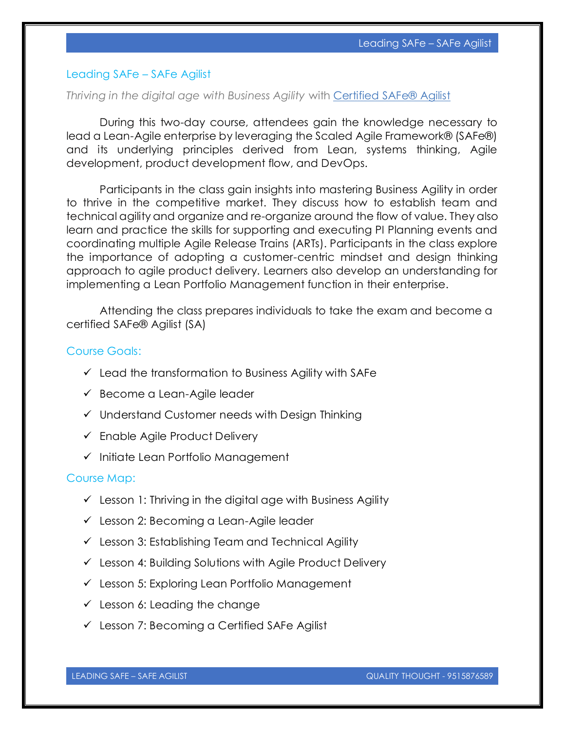### Leading SAFe – SAFe Agilist

#### *Thriving in the digital age with Business Agility* with [Certified SAFe® Agilist](https://www.scaledagile.com/certification/certified-safe-agilist/)

During this two-day course, attendees gain the knowledge necessary to lead a Lean-Agile enterprise by leveraging the Scaled Agile Framework® (SAFe®) and its underlying principles derived from Lean, systems thinking, Agile development, product development flow, and DevOps.

Participants in the class gain insights into mastering Business Agility in order to thrive in the competitive market. They discuss how to establish team and technical agility and organize and re-organize around the flow of value. They also learn and practice the skills for supporting and executing PI Planning events and coordinating multiple Agile Release Trains (ARTs). Participants in the class explore the importance of adopting a customer-centric mindset and design thinking approach to agile product delivery. Learners also develop an understanding for implementing a Lean Portfolio Management function in their enterprise.

Attending the class prepares individuals to take the exam and become a certified SAFe® Agilist (SA)

## Course Goals:

- $\checkmark$  Lead the transformation to Business Agility with SAFe
- $\checkmark$  Become a Lean-Agile leader
- $\checkmark$  Understand Customer needs with Design Thinking
- Enable Agile Product Delivery
- $\checkmark$  Initiate Lean Portfolio Management

#### Course Map:

- $\checkmark$  Lesson 1: Thriving in the digital age with Business Agility
- $\checkmark$  Lesson 2: Becoming a Lean-Agile leader
- $\checkmark$  Lesson 3: Establishing Team and Technical Agility
- $\checkmark$  Lesson 4: Building Solutions with Agile Product Delivery
- $\checkmark$  Lesson 5: Exploring Lean Portfolio Management
- $\checkmark$  Lesson 6: Leading the change
- $\checkmark$  Lesson 7: Becoming a Certified SAFe Agilist